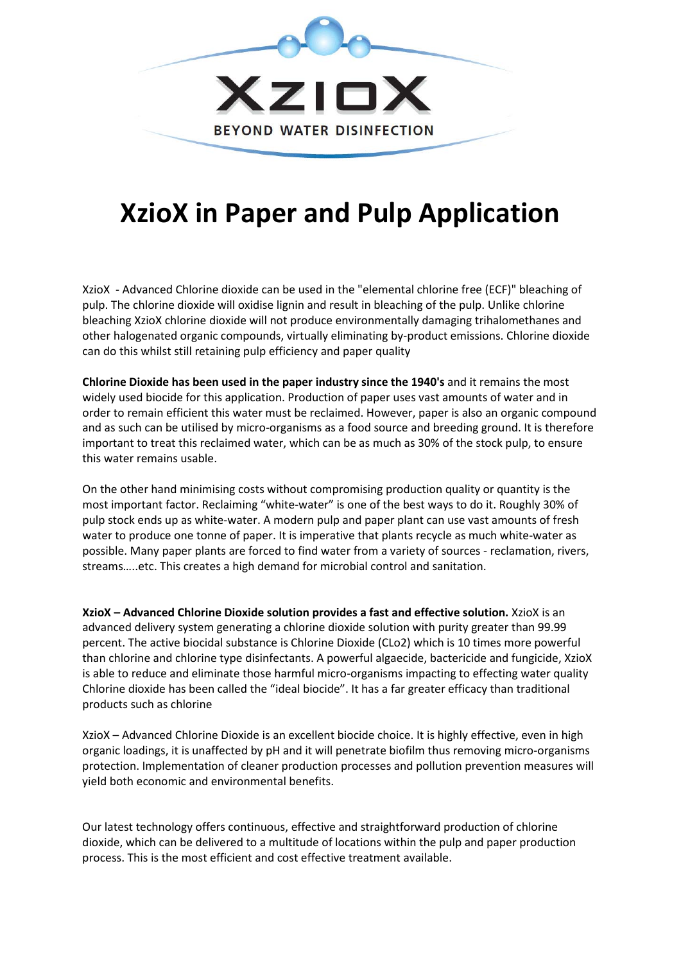

## **XzioX in Paper and Pulp Application**

XzioX - Advanced Chlorine dioxide can be used in the "elemental chlorine free (ECF)" bleaching of pulp. The chlorine dioxide will oxidise lignin and result in bleaching of the pulp. Unlike chlorine bleaching XzioX chlorine dioxide will not produce environmentally damaging trihalomethanes and other halogenated organic compounds, virtually eliminating by-product emissions. Chlorine dioxide can do this whilst still retaining pulp efficiency and paper quality

**Chlorine Dioxide has been used in the paper industry since the 1940's** and it remains the most widely used biocide for this application. Production of paper uses vast amounts of water and in order to remain efficient this water must be reclaimed. However, paper is also an organic compound and as such can be utilised by micro-organisms as a food source and breeding ground. It is therefore important to treat this reclaimed water, which can be as much as 30% of the stock pulp, to ensure this water remains usable.

On the other hand minimising costs without compromising production quality or quantity is the most important factor. Reclaiming "white-water" is one of the best ways to do it. Roughly 30% of pulp stock ends up as white-water. A modern pulp and paper plant can use vast amounts of fresh water to produce one tonne of paper. It is imperative that plants recycle as much white-water as possible. Many paper plants are forced to find water from a variety of sources - reclamation, rivers, streams…..etc. This creates a high demand for microbial control and sanitation.

**XzioX – Advanced Chlorine Dioxide solution provides a fast and effective solution.** XzioX is an advanced delivery system generating a chlorine dioxide solution with purity greater than 99.99 percent. The active biocidal substance is Chlorine Dioxide (CLo2) which is 10 times more powerful than chlorine and chlorine type disinfectants. A powerful algaecide, bactericide and fungicide, XzioX is able to reduce and eliminate those harmful micro-organisms impacting to effecting water quality Chlorine dioxide has been called the "ideal biocide". It has a far greater efficacy than traditional products such as chlorine

XzioX – Advanced Chlorine Dioxide is an excellent biocide choice. It is highly effective, even in high organic loadings, it is unaffected by pH and it will penetrate biofilm thus removing micro-organisms protection. Implementation of cleaner production processes and pollution prevention measures will yield both economic and environmental benefits.

Our latest technology offers continuous, effective and straightforward production of chlorine dioxide, which can be delivered to a multitude of locations within the pulp and paper production process. This is the most efficient and cost effective treatment available.